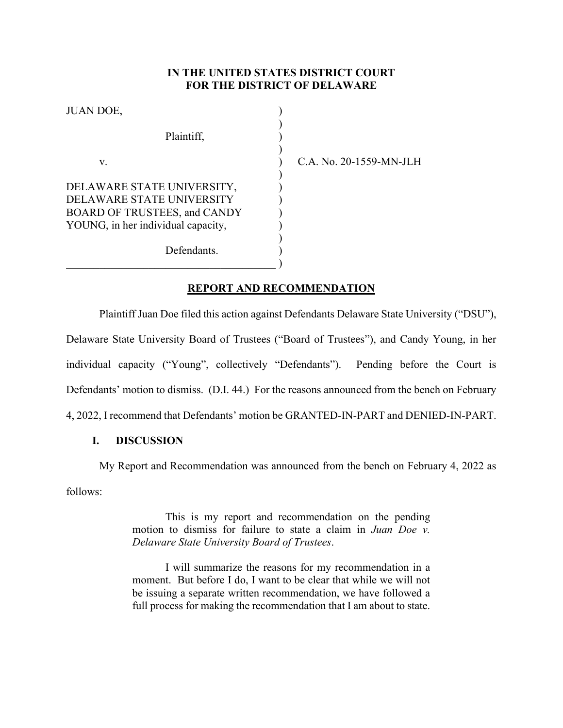# **IN THE UNITED STATES DISTRICT COURT FOR THE DISTRICT OF DELAWARE**

| JUAN DOE,                                                                                                                            |  |
|--------------------------------------------------------------------------------------------------------------------------------------|--|
| Plaintiff,                                                                                                                           |  |
| v.                                                                                                                                   |  |
| DELAWARE STATE UNIVERSITY,<br>DELAWARE STATE UNIVERSITY<br><b>BOARD OF TRUSTEES, and CANDY</b><br>YOUNG, in her individual capacity, |  |
| Defendants.                                                                                                                          |  |

C.A. No. 20-1559-MN-JLH

# **REPORT AND RECOMMENDATION**

Plaintiff Juan Doe filed this action against Defendants Delaware State University ("DSU"), Delaware State University Board of Trustees ("Board of Trustees"), and Candy Young, in her individual capacity ("Young", collectively "Defendants"). Pending before the Court is Defendants' motion to dismiss. (D.I. 44.) For the reasons announced from the bench on February

4, 2022, I recommend that Defendants' motion be GRANTED-IN-PART and DENIED-IN-PART.

# **I. DISCUSSION**

My Report and Recommendation was announced from the bench on February 4, 2022 as

follows:

This is my report and recommendation on the pending motion to dismiss for failure to state a claim in *Juan Doe v. Delaware State University Board of Trustees*.

I will summarize the reasons for my recommendation in a moment. But before I do, I want to be clear that while we will not be issuing a separate written recommendation, we have followed a full process for making the recommendation that I am about to state.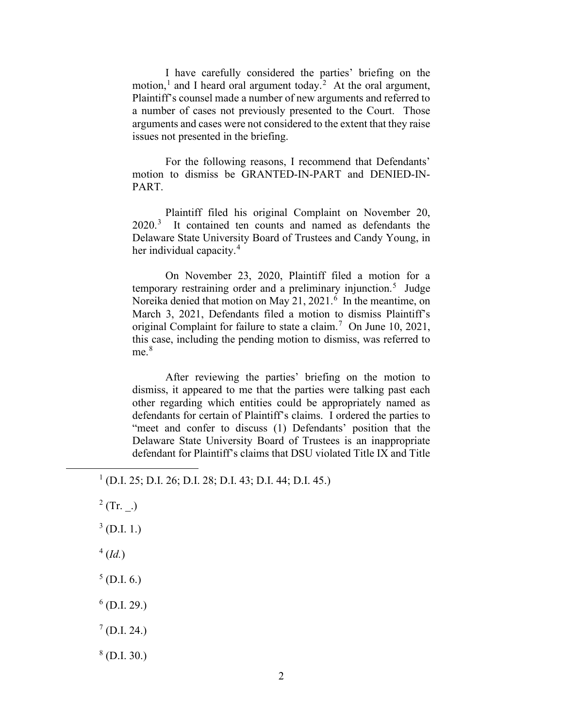I have carefully considered the parties' briefing on the motion,<sup>[1](#page-1-0)</sup> and I heard oral argument today.<sup>[2](#page-1-1)</sup> At the oral argument, Plaintiff's counsel made a number of new arguments and referred to a number of cases not previously presented to the Court. Those arguments and cases were not considered to the extent that they raise issues not presented in the briefing.

For the following reasons, I recommend that Defendants' motion to dismiss be GRANTED-IN-PART and DENIED-IN-PART.

Plaintiff filed his original Complaint on November 20, 2020.[3](#page-1-2) It contained ten counts and named as defendants the Delaware State University Board of Trustees and Candy Young, in her individual capacity.<sup>[4](#page-1-3)</sup>

On November 23, 2020, Plaintiff filed a motion for a temporary restraining order and a preliminary injunction.<sup>[5](#page-1-4)</sup> Judge Noreika denied that motion on May 21, 2021.<sup>[6](#page-1-5)</sup> In the meantime, on March 3, 2021, Defendants filed a motion to dismiss Plaintiff's original Complaint for failure to state a claim.<sup>[7](#page-1-6)</sup> On June 10, 2021, this case, including the pending motion to dismiss, was referred to  $me.^8$  $me.^8$ 

After reviewing the parties' briefing on the motion to dismiss, it appeared to me that the parties were talking past each other regarding which entities could be appropriately named as defendants for certain of Plaintiff's claims. I ordered the parties to "meet and confer to discuss (1) Defendants' position that the Delaware State University Board of Trustees is an inappropriate defendant for Plaintiff's claims that DSU violated Title IX and Title

- <span id="page-1-2"></span> $3$  (D.I. 1.)
- <span id="page-1-3"></span> $^{4}$  (*Id.*)
- <span id="page-1-4"></span> $5$  (D.I. 6.)
- <span id="page-1-5"></span> $<sup>6</sup>$  (D.I. 29.)</sup>
- <span id="page-1-6"></span> $7$  (D.I. 24.)
- <span id="page-1-7"></span> $^{8}$  (D.I. 30.)

<span id="page-1-0"></span><sup>1</sup> (D.I. 25; D.I. 26; D.I. 28; D.I. 43; D.I. 44; D.I. 45.)

<span id="page-1-1"></span> $^{2}$  (Tr. .)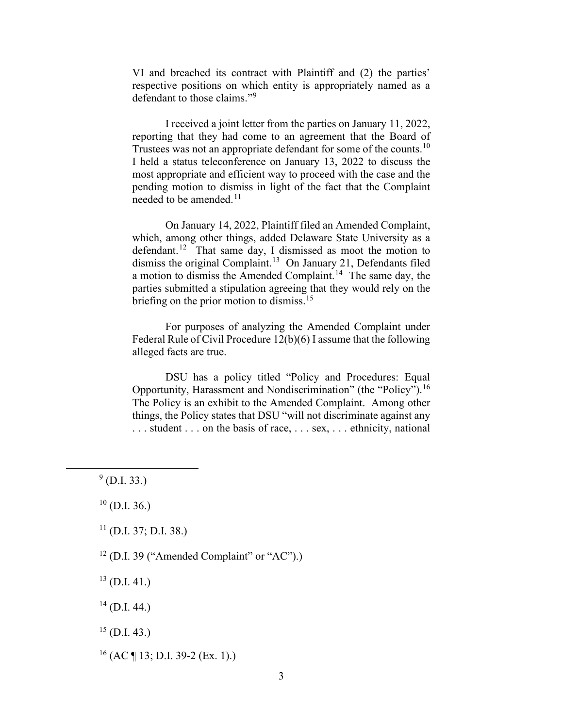VI and breached its contract with Plaintiff and (2) the parties' respective positions on which entity is appropriately named as a defendant to those claims."<sup>[9](#page-2-0)</sup>

I received a joint letter from the parties on January 11, 2022, reporting that they had come to an agreement that the Board of Trustees was not an appropriate defendant for some of the counts.<sup>[10](#page-2-1)</sup> I held a status teleconference on January 13, 2022 to discuss the most appropriate and efficient way to proceed with the case and the pending motion to dismiss in light of the fact that the Complaint needed to be amended.<sup>11</sup>

On January 14, 2022, Plaintiff filed an Amended Complaint, which, among other things, added Delaware State University as a defendant.<sup>[12](#page-2-3)</sup> That same day, I dismissed as moot the motion to dismiss the original Complaint.<sup>[13](#page-2-4)</sup> On January 21, Defendants filed a motion to dismiss the Amended Complaint.<sup>14</sup> The same day, the parties submitted a stipulation agreeing that they would rely on the briefing on the prior motion to dismiss.<sup>[15](#page-2-6)</sup>

For purposes of analyzing the Amended Complaint under Federal Rule of Civil Procedure 12(b)(6) I assume that the following alleged facts are true.

DSU has a policy titled "Policy and Procedures: Equal Opportunity, Harassment and Nondiscrimination" (the "Policy").[16](#page-2-7) The Policy is an exhibit to the Amended Complaint. Among other things, the Policy states that DSU "will not discriminate against any . . . student . . . on the basis of race, . . . sex, . . . ethnicity, national

<span id="page-2-3"></span> $12$  (D.I. 39 ("Amended Complaint" or "AC").)

<span id="page-2-4"></span> $13$  (D.I. 41.)

<span id="page-2-5"></span> $14$  (D.I. 44.)

<span id="page-2-6"></span> $15$  (D.I. 43.)

<span id="page-2-7"></span><sup>16</sup> (AC ¶ 13; D.I. 39-2 (Ex. 1).)

<span id="page-2-0"></span> $^{9}$  (D.I. 33.)

<span id="page-2-1"></span> $10$  (D.I. 36.)

<span id="page-2-2"></span> $11$  (D.I. 37; D.I. 38.)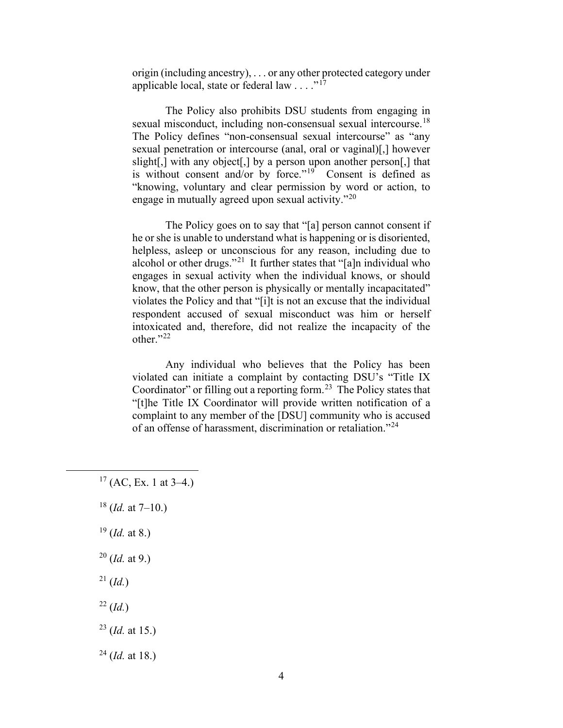origin (including ancestry), . . . or any other protected category under applicable local, state or federal law  $\dots$ ."<sup>[17](#page-3-0)</sup>

The Policy also prohibits DSU students from engaging in sexual misconduct, including non-consensual sexual intercourse.<sup>[18](#page-3-1)</sup> The Policy defines "non-consensual sexual intercourse" as "any sexual penetration or intercourse (anal, oral or vaginal)[,] however slight[,] with any object[,] by a person upon another person[,] that is without consent and/or by force."<sup>[19](#page-3-2)</sup> Consent is defined as "knowing, voluntary and clear permission by word or action, to engage in mutually agreed upon sexual activity."<sup>20</sup>

The Policy goes on to say that "[a] person cannot consent if he or she is unable to understand what is happening or is disoriented, helpless, asleep or unconscious for any reason, including due to alcohol or other drugs."[21](#page-3-4) It further states that "[a]n individual who engages in sexual activity when the individual knows, or should know, that the other person is physically or mentally incapacitated" violates the Policy and that "[i]t is not an excuse that the individual respondent accused of sexual misconduct was him or herself intoxicated and, therefore, did not realize the incapacity of the other."<sup>22</sup>

Any individual who believes that the Policy has been violated can initiate a complaint by contacting DSU's "Title IX Coordinator" or filling out a reporting form.<sup>23</sup> The Policy states that "[t]he Title IX Coordinator will provide written notification of a complaint to any member of the [DSU] community who is accused of an offense of harassment, discrimination or retaliation."[24](#page-3-7) 

- <span id="page-3-3"></span> $20$  (*Id.* at 9.)
- <span id="page-3-4"></span> $^{21}$  (*Id.*)
- <span id="page-3-5"></span> $^{22}$  (*Id.*)
- <span id="page-3-6"></span><sup>23</sup> (*Id.* at 15.)
- <span id="page-3-7"></span><sup>24</sup> (*Id.* at 18.)

<span id="page-3-0"></span> $17$  (AC, Ex. 1 at 3–4.)

<span id="page-3-1"></span> $18$  (*Id.* at 7–10.)

<span id="page-3-2"></span> <sup>19</sup> (*Id.* at 8.)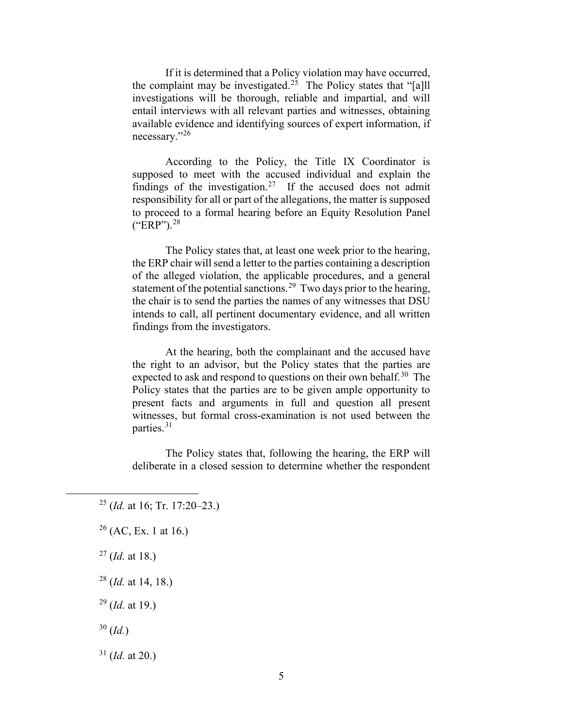If it is determined that a Policy violation may have occurred, the complaint may be investigated.<sup>25</sup> The Policy states that "[a]ll investigations will be thorough, reliable and impartial, and will entail interviews with all relevant parties and witnesses, obtaining available evidence and identifying sources of expert information, if necessary."<sup>26</sup>

According to the Policy, the Title IX Coordinator is supposed to meet with the accused individual and explain the findings of the investigation.<sup>[27](#page-4-2)</sup> If the accused does not admit responsibility for all or part of the allegations, the matter is supposed to proceed to a formal hearing before an Equity Resolution Panel  $("ERP")$ .  $^{28}$  $^{28}$  $^{28}$ 

The Policy states that, at least one week prior to the hearing, the ERP chair will send a letter to the parties containing a description of the alleged violation, the applicable procedures, and a general statement of the potential sanctions.<sup>29</sup> Two days prior to the hearing, the chair is to send the parties the names of any witnesses that DSU intends to call, all pertinent documentary evidence, and all written findings from the investigators.

At the hearing, both the complainant and the accused have the right to an advisor, but the Policy states that the parties are expected to ask and respond to questions on their own behalf.<sup>[30](#page-4-5)</sup> The Policy states that the parties are to be given ample opportunity to present facts and arguments in full and question all present witnesses, but formal cross-examination is not used between the parties.[31](#page-4-6) 

The Policy states that, following the hearing, the ERP will deliberate in a closed session to determine whether the respondent

- <span id="page-4-2"></span><sup>27</sup> (*Id.* at 18.)
- <span id="page-4-3"></span><sup>28</sup> (*Id.* at 14, 18.)
- <span id="page-4-4"></span><sup>29</sup> (*Id.* at 19.)
- <span id="page-4-5"></span> $30$  (*Id.*)
- <span id="page-4-6"></span> $31$  (*Id.* at 20.)

<span id="page-4-0"></span><sup>25</sup> (*Id.* at 16; Tr. 17:20–23.)

<span id="page-4-1"></span> $26$  (AC, Ex. 1 at 16.)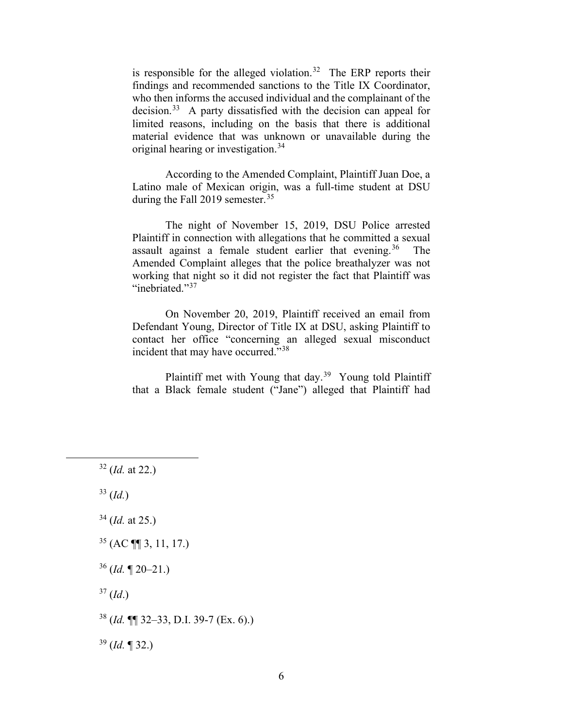is responsible for the alleged violation.<sup>[32](#page-5-0)</sup> The ERP reports their findings and recommended sanctions to the Title IX Coordinator, who then informs the accused individual and the complainant of the decision.[33](#page-5-1) A party dissatisfied with the decision can appeal for limited reasons, including on the basis that there is additional material evidence that was unknown or unavailable during the original hearing or investigation.<sup>34</sup>

According to the Amended Complaint, Plaintiff Juan Doe, a Latino male of Mexican origin, was a full-time student at DSU during the Fall 2019 semester.<sup>[35](#page-5-3)</sup>

The night of November 15, 2019, DSU Police arrested Plaintiff in connection with allegations that he committed a sexual assault against a female student earlier that evening.<sup>[36](#page-5-4)</sup> The Amended Complaint alleges that the police breathalyzer was not working that night so it did not register the fact that Plaintiff was "inebriated."<sup>[37](#page-5-5)</sup>

On November 20, 2019, Plaintiff received an email from Defendant Young, Director of Title IX at DSU, asking Plaintiff to contact her office "concerning an alleged sexual misconduct incident that may have occurred."[38](#page-5-6) 

Plaintiff met with Young that day.[39](#page-5-7) Young told Plaintiff that a Black female student ("Jane") alleged that Plaintiff had

<span id="page-5-1"></span> $33$  (*Id.*)

<span id="page-5-2"></span><sup>34</sup> (*Id.* at 25.)

<span id="page-5-3"></span> $35$  (AC ¶ 3, 11, 17.)

<span id="page-5-4"></span><sup>36</sup> (*Id.* ¶ 20–21.)

<span id="page-5-5"></span><sup>37</sup> (*Id*.)

<span id="page-5-6"></span><sup>38</sup> (*Id.* ¶¶ 32–33, D.I. 39-7 (Ex. 6).)

<span id="page-5-7"></span><sup>39</sup> (*Id.* ¶ 32.)

<span id="page-5-0"></span><sup>32</sup> (*Id.* at 22.)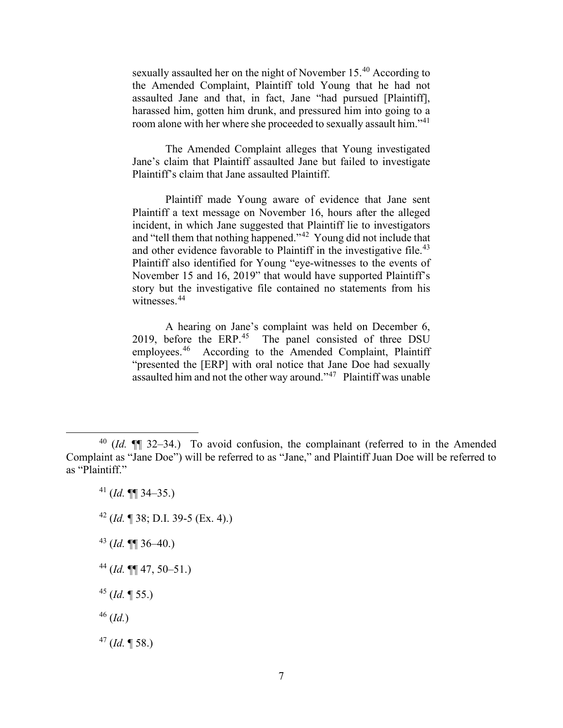sexually assaulted her on the night of November 15.<sup>[40](#page-6-0)</sup> According to the Amended Complaint, Plaintiff told Young that he had not assaulted Jane and that, in fact, Jane "had pursued [Plaintiff], harassed him, gotten him drunk, and pressured him into going to a room alone with her where she proceeded to sexually assault him."<sup>[41](#page-6-1)</sup>

The Amended Complaint alleges that Young investigated Jane's claim that Plaintiff assaulted Jane but failed to investigate Plaintiff's claim that Jane assaulted Plaintiff.

Plaintiff made Young aware of evidence that Jane sent Plaintiff a text message on November 16, hours after the alleged incident, in which Jane suggested that Plaintiff lie to investigators and "tell them that nothing happened."[42](#page-6-2) Young did not include that and other evidence favorable to Plaintiff in the investigative file.<sup>[43](#page-6-3)</sup> Plaintiff also identified for Young "eye-witnesses to the events of November 15 and 16, 2019" that would have supported Plaintiff's story but the investigative file contained no statements from his witnesses.<sup>44</sup>

A hearing on Jane's complaint was held on December 6, 2019, before the ERP. $45$  The panel consisted of three DSU employees.<sup>[46](#page-6-6)</sup> According to the Amended Complaint, Plaintiff "presented the [ERP] with oral notice that Jane Doe had sexually assaulted him and not the other way around."[47](#page-6-7) Plaintiff was unable

- <sup>42</sup> (*Id.* ¶ 38; D.I. 39-5 (Ex. 4).)
- <span id="page-6-3"></span><sup>43</sup> (*Id.* ¶¶ 36–40.)
- <span id="page-6-4"></span><sup>44</sup> (*Id.* ¶¶ 47, 50–51.)

<span id="page-6-5"></span><sup>45</sup> (*Id.* ¶ 55.)

<span id="page-6-6"></span> $46$  (*Id.*)

<span id="page-6-7"></span><sup>47</sup> (*Id.* ¶ 58.)

<span id="page-6-2"></span><span id="page-6-1"></span><span id="page-6-0"></span><sup>40</sup> (*Id.* ¶¶ 32–34.) To avoid confusion, the complainant (referred to in the Amended Complaint as "Jane Doe") will be referred to as "Jane," and Plaintiff Juan Doe will be referred to as "Plaintiff."

 $41$  (*Id.* **¶** 34–35.)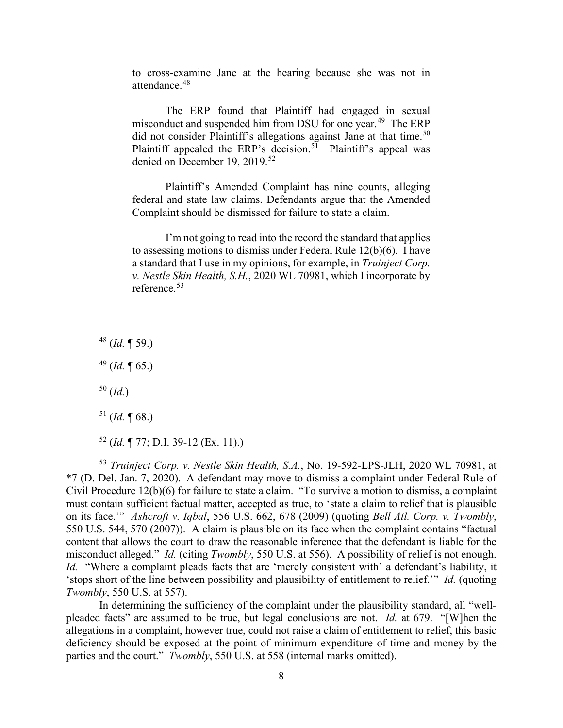to cross-examine Jane at the hearing because she was not in attendance.[48](#page-7-0)

The ERP found that Plaintiff had engaged in sexual misconduct and suspended him from DSU for one year.<sup>49</sup> The ERP did not consider Plaintiff's allegations against Jane at that time.<sup>[50](#page-7-2)</sup> Plaintiff appealed the ERP's decision.<sup>51</sup> Plaintiff's appeal was denied on December 19, 2019.<sup>52</sup>

Plaintiff's Amended Complaint has nine counts, alleging federal and state law claims. Defendants argue that the Amended Complaint should be dismissed for failure to state a claim.

I'm not going to read into the record the standard that applies to assessing motions to dismiss under Federal Rule 12(b)(6). I have a standard that I use in my opinions, for example, in *Truinject Corp. v. Nestle Skin Health, S.H.*, 2020 WL 70981, which I incorporate by reference.[53](#page-7-5)

<span id="page-7-0"></span><sup>48</sup> (*Id.* ¶ 59.)

<span id="page-7-1"></span><sup>49</sup> (*Id.* ¶ 65.)

<span id="page-7-2"></span> $50$  (*Id.*)

 $51$  (*Id.* ¶ 68.)

<sup>52</sup> (*Id.* ¶ 77; D.I. 39-12 (Ex. 11).)

<span id="page-7-5"></span><span id="page-7-4"></span><span id="page-7-3"></span><sup>53</sup> *Truinject Corp. v. Nestle Skin Health, S.A.*, No. 19-592-LPS-JLH, 2020 WL 70981, at \*7 (D. Del. Jan. 7, 2020). A defendant may move to dismiss a complaint under Federal Rule of Civil Procedure 12(b)(6) for failure to state a claim. "To survive a motion to dismiss, a complaint must contain sufficient factual matter, accepted as true, to 'state a claim to relief that is plausible on its face.'" *Ashcroft v. Iqbal*, 556 U.S. 662, 678 (2009) (quoting *Bell Atl. Corp. v. Twombly*, 550 U.S. 544, 570 (2007)). A claim is plausible on its face when the complaint contains "factual content that allows the court to draw the reasonable inference that the defendant is liable for the misconduct alleged." *Id.* (citing *Twombly*, 550 U.S. at 556). A possibility of relief is not enough. *Id.* "Where a complaint pleads facts that are 'merely consistent with' a defendant's liability, it 'stops short of the line between possibility and plausibility of entitlement to relief.'" *Id.* (quoting *Twombly*, 550 U.S. at 557).

In determining the sufficiency of the complaint under the plausibility standard, all "wellpleaded facts" are assumed to be true, but legal conclusions are not. *Id.* at 679. "[W]hen the allegations in a complaint, however true, could not raise a claim of entitlement to relief, this basic deficiency should be exposed at the point of minimum expenditure of time and money by the parties and the court." *Twombly*, 550 U.S. at 558 (internal marks omitted).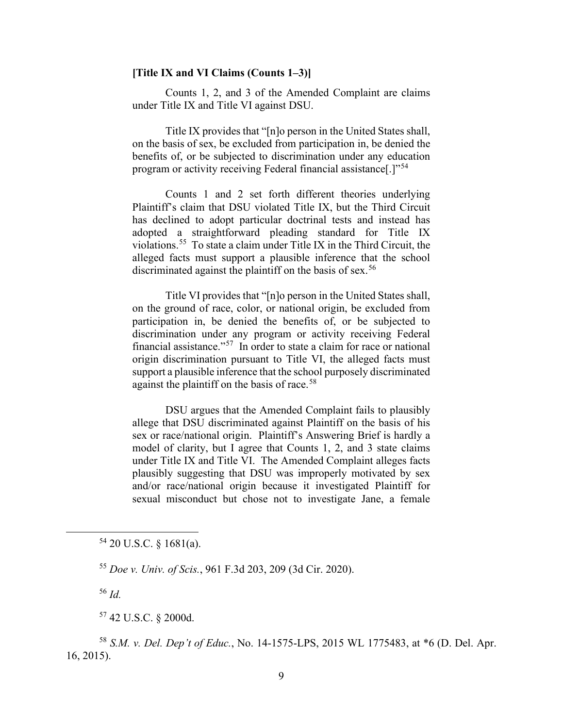# **[Title IX and VI Claims (Counts 1–3)]**

Counts 1, 2, and 3 of the Amended Complaint are claims under Title IX and Title VI against DSU.

Title IX provides that "[n]o person in the United States shall, on the basis of sex, be excluded from participation in, be denied the benefits of, or be subjected to discrimination under any education program or activity receiving Federal financial assistance[.]"[54](#page-8-0)

Counts 1 and 2 set forth different theories underlying Plaintiff's claim that DSU violated Title IX, but the Third Circuit has declined to adopt particular doctrinal tests and instead has adopted a straightforward pleading standard for Title IX violations.<sup>[55](#page-8-1)</sup> To state a claim under Title IX in the Third Circuit, the alleged facts must support a plausible inference that the school discriminated against the plaintiff on the basis of sex.<sup>[56](#page-8-2)</sup>

Title VI provides that "[n]o person in the United States shall, on the ground of race, color, or national origin, be excluded from participation in, be denied the benefits of, or be subjected to discrimination under any program or activity receiving Federal financial assistance."[57](#page-8-3) In order to state a claim for race or national origin discrimination pursuant to Title VI, the alleged facts must support a plausible inference that the school purposely discriminated against the plaintiff on the basis of race.<sup>58</sup>

DSU argues that the Amended Complaint fails to plausibly allege that DSU discriminated against Plaintiff on the basis of his sex or race/national origin. Plaintiff's Answering Brief is hardly a model of clarity, but I agree that Counts 1, 2, and 3 state claims under Title IX and Title VI. The Amended Complaint alleges facts plausibly suggesting that DSU was improperly motivated by sex and/or race/national origin because it investigated Plaintiff for sexual misconduct but chose not to investigate Jane, a female

<span id="page-8-0"></span><sup>54</sup> 20 U.S.C. § 1681(a).

<span id="page-8-1"></span><sup>55</sup> *Doe v. Univ. of Scis.*, 961 F.3d 203, 209 (3d Cir. 2020).

<sup>56</sup> *Id.*

<sup>57</sup> 42 U.S.C. § 2000d.

<span id="page-8-4"></span><span id="page-8-3"></span><span id="page-8-2"></span><sup>58</sup> *S.M. v. Del. Dep't of Educ.*, No. 14-1575-LPS, 2015 WL 1775483, at \*6 (D. Del. Apr. 16, 2015).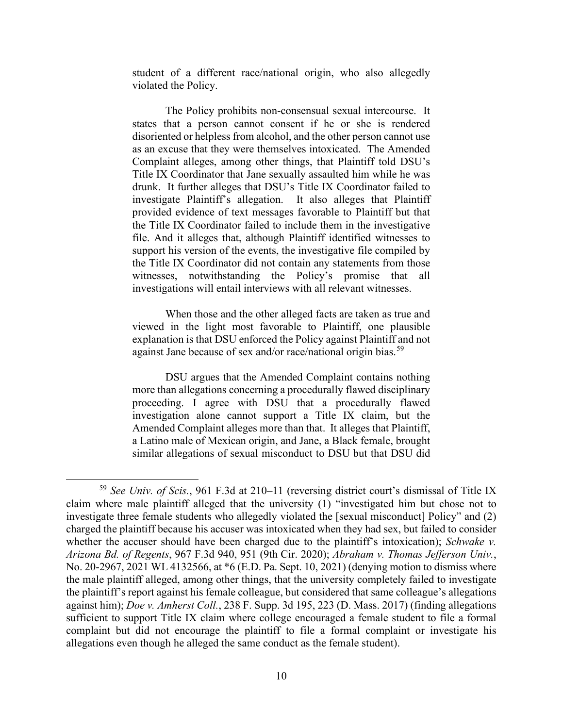student of a different race/national origin, who also allegedly violated the Policy.

The Policy prohibits non-consensual sexual intercourse. It states that a person cannot consent if he or she is rendered disoriented or helpless from alcohol, and the other person cannot use as an excuse that they were themselves intoxicated. The Amended Complaint alleges, among other things, that Plaintiff told DSU's Title IX Coordinator that Jane sexually assaulted him while he was drunk. It further alleges that DSU's Title IX Coordinator failed to investigate Plaintiff's allegation. It also alleges that Plaintiff provided evidence of text messages favorable to Plaintiff but that the Title IX Coordinator failed to include them in the investigative file. And it alleges that, although Plaintiff identified witnesses to support his version of the events, the investigative file compiled by the Title IX Coordinator did not contain any statements from those witnesses, notwithstanding the Policy's promise that all investigations will entail interviews with all relevant witnesses.

When those and the other alleged facts are taken as true and viewed in the light most favorable to Plaintiff, one plausible explanation is that DSU enforced the Policy against Plaintiff and not against Jane because of sex and/or race/national origin bias.<sup>[59](#page-9-0)</sup>

DSU argues that the Amended Complaint contains nothing more than allegations concerning a procedurally flawed disciplinary proceeding. I agree with DSU that a procedurally flawed investigation alone cannot support a Title IX claim, but the Amended Complaint alleges more than that. It alleges that Plaintiff, a Latino male of Mexican origin, and Jane, a Black female, brought similar allegations of sexual misconduct to DSU but that DSU did

<span id="page-9-0"></span><sup>59</sup> *See Univ. of Scis.*, 961 F.3d at 210–11 (reversing district court's dismissal of Title IX claim where male plaintiff alleged that the university (1) "investigated him but chose not to investigate three female students who allegedly violated the [sexual misconduct] Policy" and (2) charged the plaintiff because his accuser was intoxicated when they had sex, but failed to consider whether the accuser should have been charged due to the plaintiff's intoxication); *Schwake v. Arizona Bd. of Regents*, 967 F.3d 940, 951 (9th Cir. 2020); *Abraham v. Thomas Jefferson Univ.*, No. 20-2967, 2021 WL 4132566, at \*6 (E.D. Pa. Sept. 10, 2021) (denying motion to dismiss where the male plaintiff alleged, among other things, that the university completely failed to investigate the plaintiff's report against his female colleague, but considered that same colleague's allegations against him); *Doe v. Amherst Coll.*, 238 F. Supp. 3d 195, 223 (D. Mass. 2017) (finding allegations sufficient to support Title IX claim where college encouraged a female student to file a formal complaint but did not encourage the plaintiff to file a formal complaint or investigate his allegations even though he alleged the same conduct as the female student).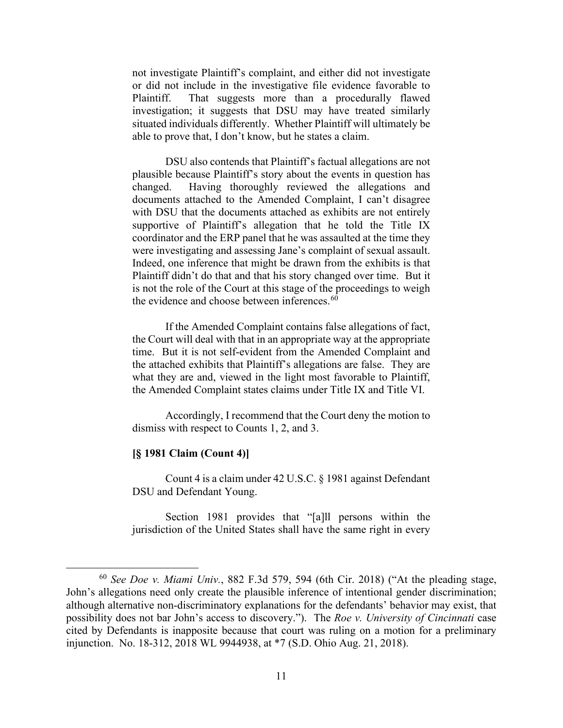not investigate Plaintiff's complaint, and either did not investigate or did not include in the investigative file evidence favorable to Plaintiff. That suggests more than a procedurally flawed investigation; it suggests that DSU may have treated similarly situated individuals differently. Whether Plaintiff will ultimately be able to prove that, I don't know, but he states a claim.

DSU also contends that Plaintiff's factual allegations are not plausible because Plaintiff's story about the events in question has changed. Having thoroughly reviewed the allegations and documents attached to the Amended Complaint, I can't disagree with DSU that the documents attached as exhibits are not entirely supportive of Plaintiff's allegation that he told the Title IX coordinator and the ERP panel that he was assaulted at the time they were investigating and assessing Jane's complaint of sexual assault. Indeed, one inference that might be drawn from the exhibits is that Plaintiff didn't do that and that his story changed over time. But it is not the role of the Court at this stage of the proceedings to weigh the evidence and choose between inferences. $60$ 

If the Amended Complaint contains false allegations of fact, the Court will deal with that in an appropriate way at the appropriate time. But it is not self-evident from the Amended Complaint and the attached exhibits that Plaintiff's allegations are false. They are what they are and, viewed in the light most favorable to Plaintiff, the Amended Complaint states claims under Title IX and Title VI.

Accordingly, I recommend that the Court deny the motion to dismiss with respect to Counts 1, 2, and 3.

#### **[§ 1981 Claim (Count 4)]**

Count 4 is a claim under 42 U.S.C. § 1981 against Defendant DSU and Defendant Young.

Section 1981 provides that "[a]ll persons within the jurisdiction of the United States shall have the same right in every

<span id="page-10-0"></span><sup>60</sup> *See Doe v. Miami Univ.*, 882 F.3d 579, 594 (6th Cir. 2018) ("At the pleading stage, John's allegations need only create the plausible inference of intentional gender discrimination; although alternative non-discriminatory explanations for the defendants' behavior may exist, that possibility does not bar John's access to discovery."). The *Roe v. University of Cincinnati* case cited by Defendants is inapposite because that court was ruling on a motion for a preliminary injunction. No. 18-312, 2018 WL 9944938, at \*7 (S.D. Ohio Aug. 21, 2018).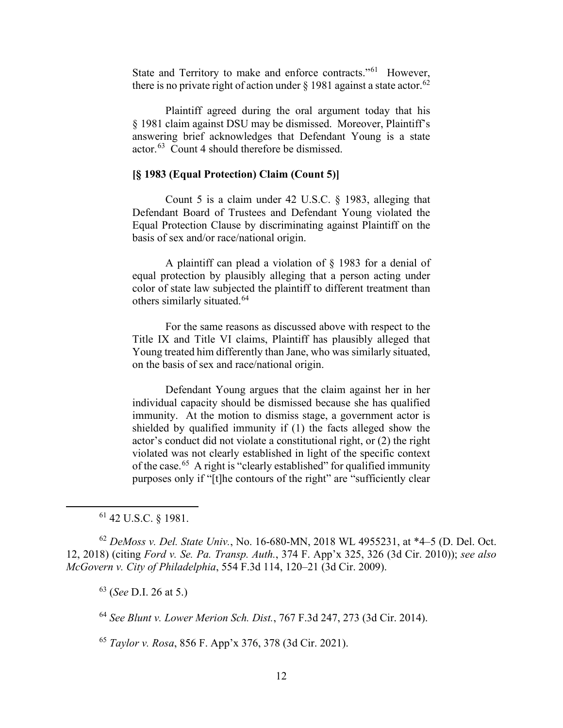State and Territory to make and enforce contracts."<sup>[61](#page-11-0)</sup> However, there is no private right of action under  $\S$  1981 against a state actor.<sup>[62](#page-11-1)</sup>

Plaintiff agreed during the oral argument today that his § 1981 claim against DSU may be dismissed. Moreover, Plaintiff's answering brief acknowledges that Defendant Young is a state actor.[63](#page-11-2) Count 4 should therefore be dismissed.

# **[§ 1983 (Equal Protection) Claim (Count 5)]**

Count 5 is a claim under 42 U.S.C. § 1983, alleging that Defendant Board of Trustees and Defendant Young violated the Equal Protection Clause by discriminating against Plaintiff on the basis of sex and/or race/national origin.

A plaintiff can plead a violation of § 1983 for a denial of equal protection by plausibly alleging that a person acting under color of state law subjected the plaintiff to different treatment than others similarly situated.[64](#page-11-3)

For the same reasons as discussed above with respect to the Title IX and Title VI claims, Plaintiff has plausibly alleged that Young treated him differently than Jane, who was similarly situated, on the basis of sex and race/national origin.

Defendant Young argues that the claim against her in her individual capacity should be dismissed because she has qualified immunity. At the motion to dismiss stage, a government actor is shielded by qualified immunity if (1) the facts alleged show the actor's conduct did not violate a constitutional right, or (2) the right violated was not clearly established in light of the specific context of the case.[65](#page-11-4) A right is "clearly established" for qualified immunity purposes only if "[t]he contours of the right" are "sufficiently clear

<sup>61</sup> 42 U.S.C. § 1981.

<span id="page-11-2"></span><span id="page-11-1"></span><span id="page-11-0"></span><sup>62</sup> *DeMoss v. Del. State Univ.*, No. 16-680-MN, 2018 WL 4955231, at \*4–5 (D. Del. Oct. 12, 2018) (citing *Ford v. Se. Pa. Transp. Auth.*, 374 F. App'x 325, 326 (3d Cir. 2010)); *see also McGovern v. City of Philadelphia*, 554 F.3d 114, 120–21 (3d Cir. 2009).

<sup>63</sup> (*See* D.I. 26 at 5.)

<span id="page-11-3"></span><sup>64</sup> *See Blunt v. Lower Merion Sch. Dist.*, 767 F.3d 247, 273 (3d Cir. 2014).

<span id="page-11-4"></span><sup>65</sup> *Taylor v. Rosa*, 856 F. App'x 376, 378 (3d Cir. 2021).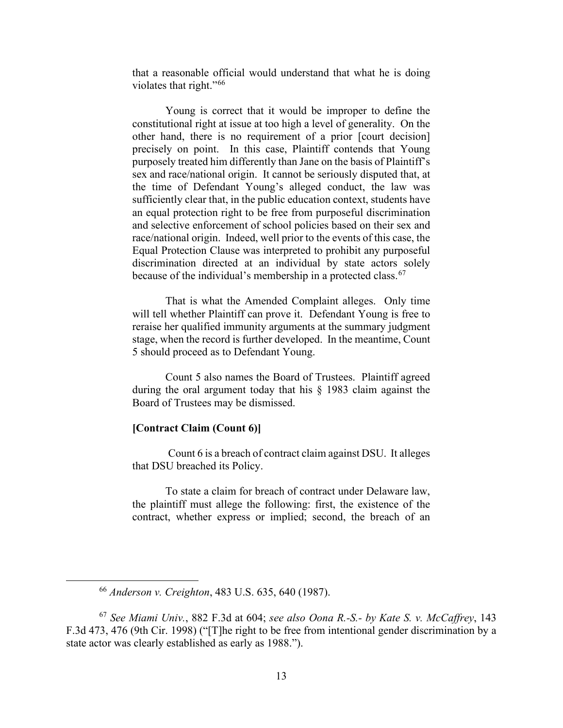that a reasonable official would understand that what he is doing violates that right."<sup>[66](#page-12-0)</sup>

Young is correct that it would be improper to define the constitutional right at issue at too high a level of generality. On the other hand, there is no requirement of a prior [court decision] precisely on point. In this case, Plaintiff contends that Young purposely treated him differently than Jane on the basis of Plaintiff's sex and race/national origin. It cannot be seriously disputed that, at the time of Defendant Young's alleged conduct, the law was sufficiently clear that, in the public education context, students have an equal protection right to be free from purposeful discrimination and selective enforcement of school policies based on their sex and race/national origin. Indeed, well prior to the events of this case, the Equal Protection Clause was interpreted to prohibit any purposeful discrimination directed at an individual by state actors solely because of the individual's membership in a protected class.<sup>[67](#page-12-1)</sup>

That is what the Amended Complaint alleges. Only time will tell whether Plaintiff can prove it. Defendant Young is free to reraise her qualified immunity arguments at the summary judgment stage, when the record is further developed. In the meantime, Count 5 should proceed as to Defendant Young.

Count 5 also names the Board of Trustees. Plaintiff agreed during the oral argument today that his § 1983 claim against the Board of Trustees may be dismissed.

### **[Contract Claim (Count 6)]**

Count 6 is a breach of contract claim against DSU. It alleges that DSU breached its Policy.

To state a claim for breach of contract under Delaware law, the plaintiff must allege the following: first, the existence of the contract, whether express or implied; second, the breach of an

<sup>66</sup> *Anderson v. Creighton*, 483 U.S. 635, 640 (1987).

<span id="page-12-1"></span><span id="page-12-0"></span><sup>67</sup> *See Miami Univ.*, 882 F.3d at 604; *see also Oona R.-S.- by Kate S. v. McCaffrey*, 143 F.3d 473, 476 (9th Cir. 1998) ("[T]he right to be free from intentional gender discrimination by a state actor was clearly established as early as 1988.").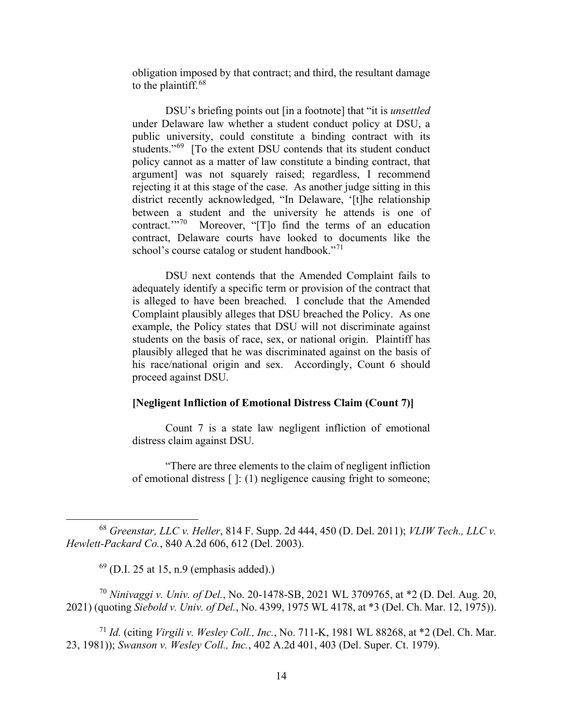obligation imposed by that contract; and third, the resultant damage to the plaintiff. $68$ 

DSU's briefing points out [in a footnote] that "it is *unsettled* under Delaware law whether a student conduct policy at DSU, a public university, could constitute a binding contract with its students."<sup>[69](#page-13-1)</sup> [To the extent DSU contends that its student conduct policy cannot as a matter of law constitute a binding contract, that argument] was not squarely raised; regardless, I recommend rejecting it at this stage of the case. As another judge sitting in this district recently acknowledged, "In Delaware, '[t]he relationship between a student and the university he attends is one of contract."<sup>70</sup> Moreover, "[T]o find the terms of an education contract, Delaware courts have looked to documents like the school's course catalog or student handbook."<sup>[71](#page-13-3)</sup>

DSU next contends that the Amended Complaint fails to adequately identify a specific term or provision of the contract that is alleged to have been breached. I conclude that the Amended Complaint plausibly alleges that DSU breached the Policy. As one example, the Policy states that DSU will not discriminate against students on the basis of race, sex, or national origin. Plaintiff has plausibly alleged that he was discriminated against on the basis of his race/national origin and sex. Accordingly, Count 6 should proceed against DSU.

### **[Negligent Infliction of Emotional Distress Claim (Count 7)]**

Count 7 is a state law negligent infliction of emotional distress claim against DSU.

"There are three elements to the claim of negligent infliction of emotional distress [ ]: (1) negligence causing fright to someone;

 $^{69}$  (D.I. 25 at 15, n.9 (emphasis added).)

<span id="page-13-2"></span><span id="page-13-1"></span><sup>70</sup> *Ninivaggi v. Univ. of Del.*, No. 20-1478-SB, 2021 WL 3709765, at \*2 (D. Del. Aug. 20, 2021) (quoting *Siebold v. Univ. of Del.*, No. 4399, 1975 WL 4178, at \*3 (Del. Ch. Mar. 12, 1975)).

<span id="page-13-3"></span><sup>71</sup> *Id.* (citing *Virgili v. Wesley Coll., Inc.*, No. 711-K, 1981 WL 88268, at \*2 (Del. Ch. Mar. 23, 1981)); *Swanson v. Wesley Coll., Inc.*, 402 A.2d 401, 403 (Del. Super. Ct. 1979).

<span id="page-13-0"></span><sup>68</sup> *Greenstar, LLC v. Heller*, 814 F. Supp. 2d 444, 450 (D. Del. 2011); *VLIW Tech., LLC v. Hewlett-Packard Co.*, 840 A.2d 606, 612 (Del. 2003).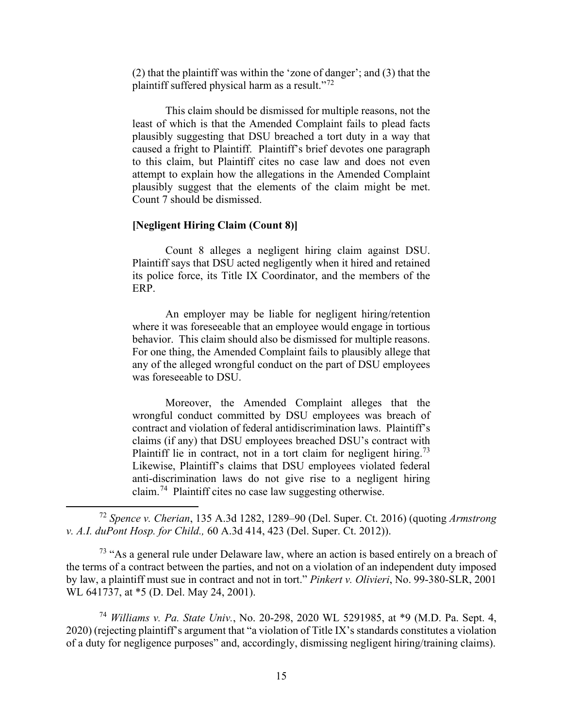(2) that the plaintiff was within the 'zone of danger'; and (3) that the plaintiff suffered physical harm as a result."<sup>72</sup>

This claim should be dismissed for multiple reasons, not the least of which is that the Amended Complaint fails to plead facts plausibly suggesting that DSU breached a tort duty in a way that caused a fright to Plaintiff. Plaintiff's brief devotes one paragraph to this claim, but Plaintiff cites no case law and does not even attempt to explain how the allegations in the Amended Complaint plausibly suggest that the elements of the claim might be met. Count 7 should be dismissed.

# **[Negligent Hiring Claim (Count 8)]**

Count 8 alleges a negligent hiring claim against DSU. Plaintiff says that DSU acted negligently when it hired and retained its police force, its Title IX Coordinator, and the members of the ERP.

An employer may be liable for negligent hiring/retention where it was foreseeable that an employee would engage in tortious behavior. This claim should also be dismissed for multiple reasons. For one thing, the Amended Complaint fails to plausibly allege that any of the alleged wrongful conduct on the part of DSU employees was foreseeable to DSU.

Moreover, the Amended Complaint alleges that the wrongful conduct committed by DSU employees was breach of contract and violation of federal antidiscrimination laws. Plaintiff's claims (if any) that DSU employees breached DSU's contract with Plaintiff lie in contract, not in a tort claim for negligent hiring.<sup>[73](#page-14-1)</sup> Likewise, Plaintiff's claims that DSU employees violated federal anti-discrimination laws do not give rise to a negligent hiring claim.[74](#page-14-2) Plaintiff cites no case law suggesting otherwise.

<span id="page-14-0"></span><sup>72</sup> *Spence v. Cherian*, 135 A.3d 1282, 1289–90 (Del. Super. Ct. 2016) (quoting *Armstrong v. A.I. duPont Hosp. for Child.,* 60 A.3d 414, 423 (Del. Super. Ct. 2012)).

<span id="page-14-1"></span> $73$  "As a general rule under Delaware law, where an action is based entirely on a breach of the terms of a contract between the parties, and not on a violation of an independent duty imposed by law, a plaintiff must sue in contract and not in tort." *Pinkert v. Olivieri*, No. 99-380-SLR, 2001 WL 641737, at \*5 (D. Del. May 24, 2001).

<span id="page-14-2"></span><sup>74</sup> *Williams v. Pa. State Univ.*, No. 20-298, 2020 WL 5291985, at \*9 (M.D. Pa. Sept. 4, 2020) (rejecting plaintiff's argument that "a violation of Title IX's standards constitutes a violation of a duty for negligence purposes" and, accordingly, dismissing negligent hiring/training claims).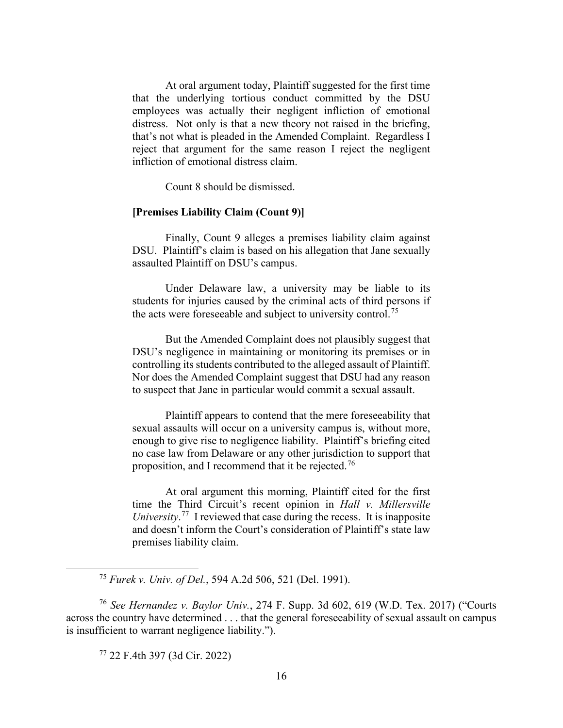At oral argument today, Plaintiff suggested for the first time that the underlying tortious conduct committed by the DSU employees was actually their negligent infliction of emotional distress. Not only is that a new theory not raised in the briefing, that's not what is pleaded in the Amended Complaint. Regardless I reject that argument for the same reason I reject the negligent infliction of emotional distress claim.

Count 8 should be dismissed.

# **[Premises Liability Claim (Count 9)]**

Finally, Count 9 alleges a premises liability claim against DSU. Plaintiff's claim is based on his allegation that Jane sexually assaulted Plaintiff on DSU's campus.

Under Delaware law, a university may be liable to its students for injuries caused by the criminal acts of third persons if the acts were foreseeable and subject to university control.<sup>75</sup>

But the Amended Complaint does not plausibly suggest that DSU's negligence in maintaining or monitoring its premises or in controlling its students contributed to the alleged assault of Plaintiff. Nor does the Amended Complaint suggest that DSU had any reason to suspect that Jane in particular would commit a sexual assault.

Plaintiff appears to contend that the mere foreseeability that sexual assaults will occur on a university campus is, without more, enough to give rise to negligence liability. Plaintiff's briefing cited no case law from Delaware or any other jurisdiction to support that proposition, and I recommend that it be rejected.<sup>[76](#page-15-1)</sup>

At oral argument this morning, Plaintiff cited for the first time the Third Circuit's recent opinion in *Hall v. Millersville University*. [77](#page-15-2) I reviewed that case during the recess. It is inapposite and doesn't inform the Court's consideration of Plaintiff's state law premises liability claim.

<sup>75</sup> *Furek v. Univ. of Del.*, 594 A.2d 506, 521 (Del. 1991).

<span id="page-15-2"></span><span id="page-15-1"></span><span id="page-15-0"></span><sup>76</sup> *See Hernandez v. Baylor Univ.*, 274 F. Supp. 3d 602, 619 (W.D. Tex. 2017) ("Courts across the country have determined . . . that the general foreseeability of sexual assault on campus is insufficient to warrant negligence liability.").

<sup>77</sup> 22 F.4th 397 (3d Cir. 2022)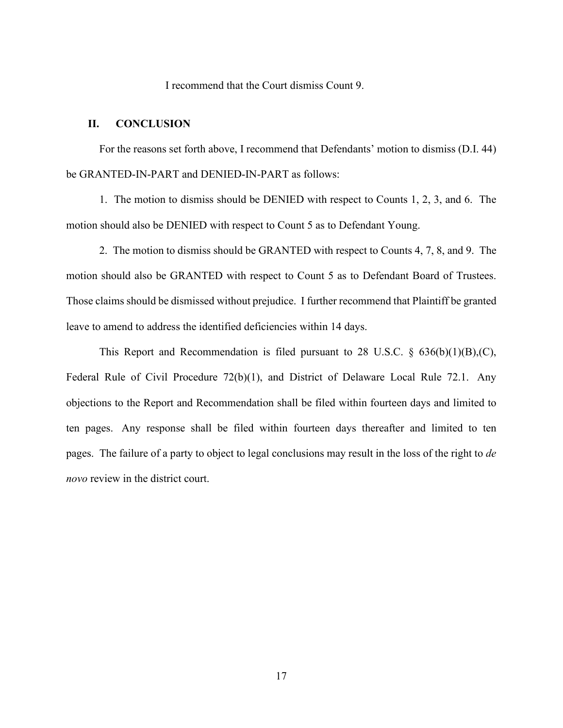I recommend that the Court dismiss Count 9.

# **II. CONCLUSION**

For the reasons set forth above, I recommend that Defendants' motion to dismiss (D.I. 44) be GRANTED-IN-PART and DENIED-IN-PART as follows:

1. The motion to dismiss should be DENIED with respect to Counts 1, 2, 3, and 6. The motion should also be DENIED with respect to Count 5 as to Defendant Young.

2. The motion to dismiss should be GRANTED with respect to Counts 4, 7, 8, and 9. The motion should also be GRANTED with respect to Count 5 as to Defendant Board of Trustees. Those claims should be dismissed without prejudice. I further recommend that Plaintiff be granted leave to amend to address the identified deficiencies within 14 days.

This Report and Recommendation is filed pursuant to 28 U.S.C.  $\S$  636(b)(1)(B),(C), Federal Rule of Civil Procedure 72(b)(1), and District of Delaware Local Rule 72.1. Any objections to the Report and Recommendation shall be filed within fourteen days and limited to ten pages. Any response shall be filed within fourteen days thereafter and limited to ten pages. The failure of a party to object to legal conclusions may result in the loss of the right to *de novo* review in the district court.